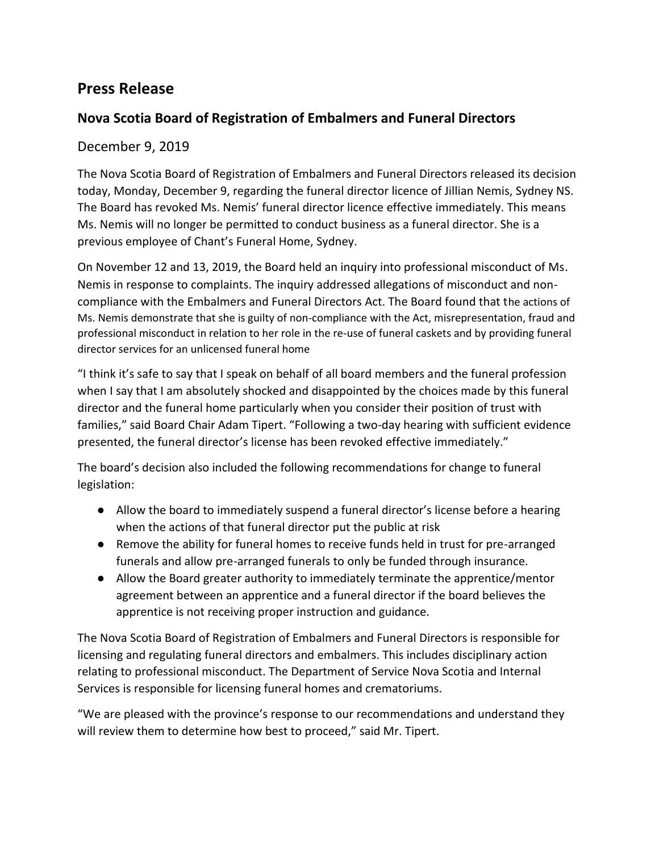## **Press Release**

## **Nova Scotia Board of Registration of Embalmers and Funeral Directors**

## December 9, 2019

The Nova Scotia Board of Registration of Embalmers and Funeral Directors released its decision today, Monday, December 9, regarding the funeral director licence of Jillian Nemis, Sydney NS. The Board has revoked Ms. Nemis' funeral director licence effective immediately. This means Ms. Nemis will no longer be permitted to conduct business as a funeral director. She is a previous employee of Chant's Funeral Home, Sydney.

On November 12 and 13, 2019, the Board held an inquiry into professional misconduct of Ms. Nemis in response to complaints. The inquiry addressed allegations of misconduct and noncompliance with the Embalmers and Funeral Directors Act. The Board found that the actions of Ms. Nemis demonstrate that she is guilty of non-compliance with the Act, misrepresentation, fraud and professional misconduct in relation to her role in the re-use of funeral caskets and by providing funeral director services for an unlicensed funeral home

"I think it's safe to say that I speak on behalf of all board members and the funeral profession when I say that I am absolutely shocked and disappointed by the choices made by this funeral director and the funeral home particularly when you consider their position of trust with families," said Board Chair Adam Tipert. "Following a two-day hearing with sufficient evidence presented, the funeral director's license has been revoked effective immediately."

The board's decision also included the following recommendations for change to funeral legislation:

- Allow the board to immediately suspend a funeral director's license before a hearing when the actions of that funeral director put the public at risk
- Remove the ability for funeral homes to receive funds held in trust for pre-arranged funerals and allow pre-arranged funerals to only be funded through insurance.
- Allow the Board greater authority to immediately terminate the apprentice/mentor agreement between an apprentice and a funeral director if the board believes the apprentice is not receiving proper instruction and guidance.

The Nova Scotia Board of Registration of Embalmers and Funeral Directors is responsible for licensing and regulating funeral directors and embalmers. This includes disciplinary action relating to professional misconduct. The Department of Service Nova Scotia and Internal Services is responsible for licensing funeral homes and crematoriums.

"We are pleased with the province's response to our recommendations and understand they will review them to determine how best to proceed," said Mr. Tipert.